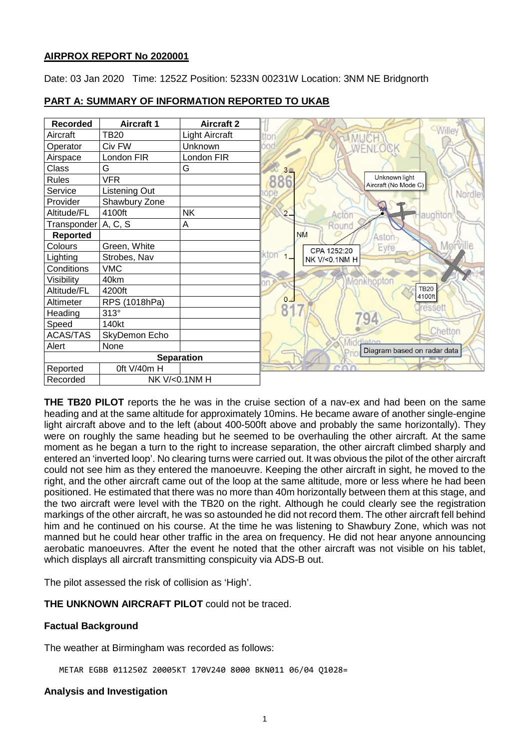# **AIRPROX REPORT No 2020001**

Date: 03 Jan 2020 Time: 1252Z Position: 5233N 00231W Location: 3NM NE Bridgnorth

| <b>Recorded</b> | <b>Aircraft 1</b> | <b>Aircraft 2</b> |                                              |
|-----------------|-------------------|-------------------|----------------------------------------------|
| Aircraft        | TB20              | Light Aircraft    |                                              |
| Operator        | Civ FW            | Unknown           | <b>WENLOCK</b>                               |
| Airspace        | London FIR        | London FIR        |                                              |
| Class           | G                 | G                 | $3 -$                                        |
| <b>Rules</b>    | <b>VFR</b>        |                   | Unknown light<br>886<br>Aircraft (No Mode C) |
| Service         | Listening Out     |                   | Nordle:                                      |
| Provider        | Shawbury Zone     |                   |                                              |
| Altitude/FL     | 4100ft            | <b>NK</b>         | $2-$<br>laughton<br>Acton                    |
| Transponder     | A, C, S           | Α                 | Round                                        |
| <b>Reported</b> |                   |                   | <b>NM</b><br>Aston                           |
| Colours         | Green, White      |                   | Eyre<br>CPA 1252:20                          |
| Lighting        | Strobes, Nav      |                   | kton<br>NK V/<0.1NM H                        |
| Conditions      | <b>VMC</b>        |                   |                                              |
| Visibility      | 40km              |                   | Monkhopton                                   |
| Altitude/FL     | 4200ft            |                   | <b>TB20</b><br>4100ft                        |
| Altimeter       | RPS (1018hPa)     |                   | 0 <sub>1</sub>                               |
| Heading         | 313°              |                   | 8<br>ressett<br>94                           |
| Speed           | 140kt             |                   |                                              |
| <b>ACAS/TAS</b> | SkyDemon Echo     |                   | Chetton<br>diator                            |
| Alert           | None              |                   | Diagram based on radar data                  |
|                 |                   | <b>Separation</b> |                                              |
| Reported        | Oft V/40m H       |                   |                                              |
| Recorded        | NK V/<0.1NM H     |                   |                                              |

## **PART A: SUMMARY OF INFORMATION REPORTED TO UKAB**

**THE TB20 PILOT** reports the he was in the cruise section of a nav-ex and had been on the same heading and at the same altitude for approximately 10mins. He became aware of another single-engine light aircraft above and to the left (about 400-500ft above and probably the same horizontally). They were on roughly the same heading but he seemed to be overhauling the other aircraft. At the same moment as he began a turn to the right to increase separation, the other aircraft climbed sharply and entered an 'inverted loop'. No clearing turns were carried out. It was obvious the pilot of the other aircraft could not see him as they entered the manoeuvre. Keeping the other aircraft in sight, he moved to the right, and the other aircraft came out of the loop at the same altitude, more or less where he had been positioned. He estimated that there was no more than 40m horizontally between them at this stage, and the two aircraft were level with the TB20 on the right. Although he could clearly see the registration markings of the other aircraft, he was so astounded he did not record them. The other aircraft fell behind him and he continued on his course. At the time he was listening to Shawbury Zone, which was not manned but he could hear other traffic in the area on frequency. He did not hear anyone announcing aerobatic manoeuvres. After the event he noted that the other aircraft was not visible on his tablet, which displays all aircraft transmitting conspicuity via ADS-B out.

The pilot assessed the risk of collision as 'High'.

**THE UNKNOWN AIRCRAFT PILOT** could not be traced.

# **Factual Background**

The weather at Birmingham was recorded as follows:

METAR EGBB 011250Z 20005KT 170V240 8000 BKN011 06/04 Q1028=

#### **Analysis and Investigation**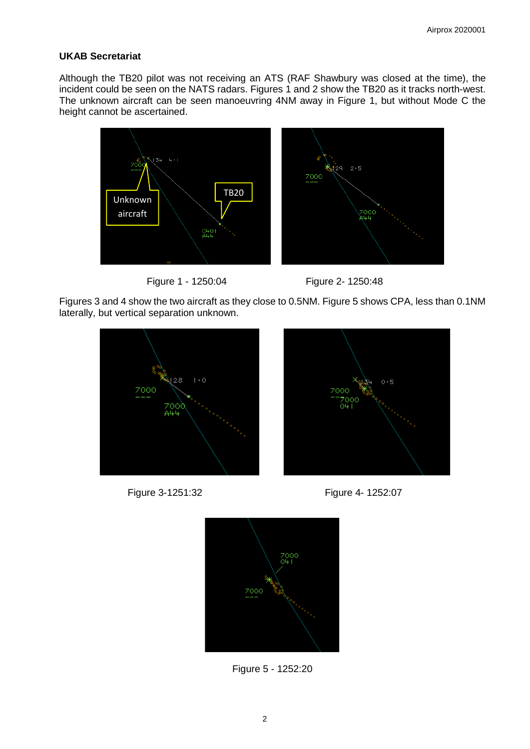# **UKAB Secretariat**

Although the TB20 pilot was not receiving an ATS (RAF Shawbury was closed at the time), the incident could be seen on the NATS radars. Figures 1 and 2 show the TB20 as it tracks north-west. The unknown aircraft can be seen manoeuvring 4NM away in Figure 1, but without Mode C the height cannot be ascertained.







Figures 3 and 4 show the two aircraft as they close to 0.5NM. Figure 5 shows CPA, less than 0.1NM laterally, but vertical separation unknown.











Figure 5 - 1252:20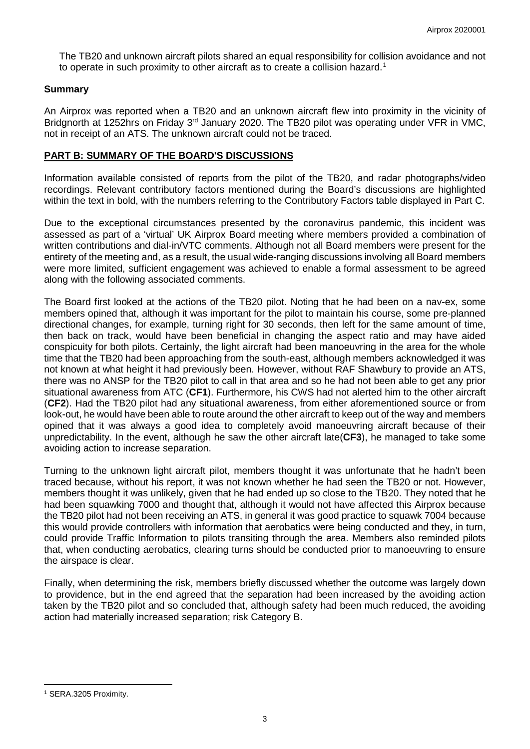The TB20 and unknown aircraft pilots shared an equal responsibility for collision avoidance and not to operate in such proximity to other aircraft as to create a collision hazard.<sup>[1](#page-2-0)</sup>

## **Summary**

An Airprox was reported when a TB20 and an unknown aircraft flew into proximity in the vicinity of Bridgnorth at 1252hrs on Friday 3<sup>rd</sup> January 2020. The TB20 pilot was operating under VFR in VMC, not in receipt of an ATS. The unknown aircraft could not be traced.

## **PART B: SUMMARY OF THE BOARD'S DISCUSSIONS**

Information available consisted of reports from the pilot of the TB20, and radar photographs/video recordings. Relevant contributory factors mentioned during the Board's discussions are highlighted within the text in bold, with the numbers referring to the Contributory Factors table displayed in Part C.

Due to the exceptional circumstances presented by the coronavirus pandemic, this incident was assessed as part of a 'virtual' UK Airprox Board meeting where members provided a combination of written contributions and dial-in/VTC comments. Although not all Board members were present for the entirety of the meeting and, as a result, the usual wide-ranging discussions involving all Board members were more limited, sufficient engagement was achieved to enable a formal assessment to be agreed along with the following associated comments.

The Board first looked at the actions of the TB20 pilot. Noting that he had been on a nav-ex, some members opined that, although it was important for the pilot to maintain his course, some pre-planned directional changes, for example, turning right for 30 seconds, then left for the same amount of time, then back on track, would have been beneficial in changing the aspect ratio and may have aided conspicuity for both pilots. Certainly, the light aircraft had been manoeuvring in the area for the whole time that the TB20 had been approaching from the south-east, although members acknowledged it was not known at what height it had previously been. However, without RAF Shawbury to provide an ATS, there was no ANSP for the TB20 pilot to call in that area and so he had not been able to get any prior situational awareness from ATC (**CF1**). Furthermore, his CWS had not alerted him to the other aircraft (**CF2**). Had the TB20 pilot had any situational awareness, from either aforementioned source or from look-out, he would have been able to route around the other aircraft to keep out of the way and members opined that it was always a good idea to completely avoid manoeuvring aircraft because of their unpredictability. In the event, although he saw the other aircraft late(**CF3**), he managed to take some avoiding action to increase separation.

Turning to the unknown light aircraft pilot, members thought it was unfortunate that he hadn't been traced because, without his report, it was not known whether he had seen the TB20 or not. However, members thought it was unlikely, given that he had ended up so close to the TB20. They noted that he had been squawking 7000 and thought that, although it would not have affected this Airprox because the TB20 pilot had not been receiving an ATS, in general it was good practice to squawk 7004 because this would provide controllers with information that aerobatics were being conducted and they, in turn, could provide Traffic Information to pilots transiting through the area. Members also reminded pilots that, when conducting aerobatics, clearing turns should be conducted prior to manoeuvring to ensure the airspace is clear.

Finally, when determining the risk, members briefly discussed whether the outcome was largely down to providence, but in the end agreed that the separation had been increased by the avoiding action taken by the TB20 pilot and so concluded that, although safety had been much reduced, the avoiding action had materially increased separation; risk Category B.

l

<span id="page-2-0"></span><sup>1</sup> SERA.3205 Proximity.